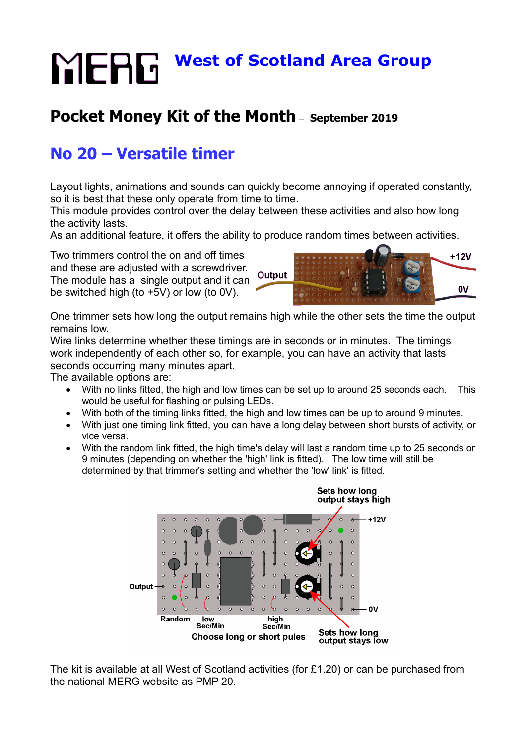# **MERG** West of Scotland Area Group

# **Pocket Money Kit of the Month** – **September 2019**

# **No 20 – Versatile timer**

Layout lights, animations and sounds can quickly become annoying if operated constantly, so it is best that these only operate from time to time.

This module provides control over the delay between these activities and also how long the activity lasts.

As an additional feature, it offers the ability to produce random times between activities.

Two trimmers control the on and off times and these are adjusted with a screwdriver. The module has a single output and it can be switched high (to +5V) or low (to 0V).



One trimmer sets how long the output remains high while the other sets the time the output remains low.

Wire links determine whether these timings are in seconds or in minutes. The timings work independently of each other so, for example, you can have an activity that lasts seconds occurring many minutes apart.

The available options are:

- With no links fitted, the high and low times can be set up to around 25 seconds each. This would be useful for flashing or pulsing LEDs.
- With both of the timing links fitted, the high and low times can be up to around 9 minutes.
- With just one timing link fitted, you can have a long delay between short bursts of activity, or vice versa.
- With the random link fitted, the high time's delay will last a random time up to 25 seconds or 9 minutes (depending on whether the 'high' link is fitted). The low time will still be determined by that trimmer's setting and whether the 'low' link' is fitted.



The kit is available at all West of Scotland activities (for £1.20) or can be purchased from the national MERG website as PMP 20.